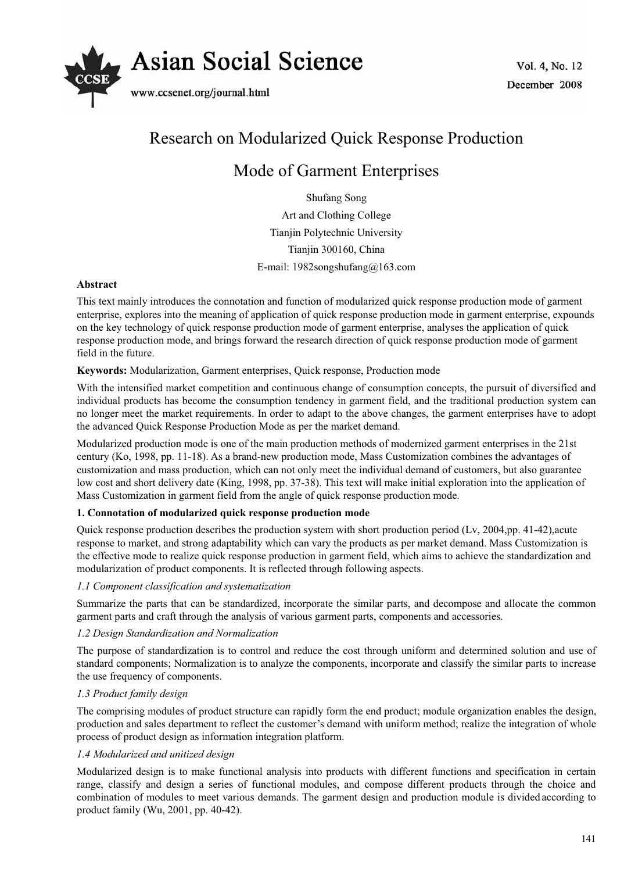

# Research on Modularized Quick Response Production

# Mode of Garment Enterprises

Shufang Song Art and Clothing College Tianjin Polytechnic University Tianjin 300160, China E-mail: 1982songshufang@163.com

# **Abstract**

This text mainly introduces the connotation and function of modularized quick response production mode of garment enterprise, explores into the meaning of application of quick response production mode in garment enterprise, expounds on the key technology of quick response production mode of garment enterprise, analyses the application of quick response production mode, and brings forward the research direction of quick response production mode of garment field in the future.

# **Keywords:** Modularization, Garment enterprises, Quick response, Production mode

With the intensified market competition and continuous change of consumption concepts, the pursuit of diversified and individual products has become the consumption tendency in garment field, and the traditional production system can no longer meet the market requirements. In order to adapt to the above changes, the garment enterprises have to adopt the advanced Quick Response Production Mode as per the market demand.

Modularized production mode is one of the main production methods of modernized garment enterprises in the 21st century (Ko, 1998, pp. 11-18). As a brand-new production mode, Mass Customization combines the advantages of customization and mass production, which can not only meet the individual demand of customers, but also guarantee low cost and short delivery date (King, 1998, pp. 37-38). This text will make initial exploration into the application of Mass Customization in garment field from the angle of quick response production mode.

# **1. Connotation of modularized quick response production mode**

Quick response production describes the production system with short production period (Lv, 2004,pp. 41-42),acute response to market, and strong adaptability which can vary the products as per market demand. Mass Customization is the effective mode to realize quick response production in garment field, which aims to achieve the standardization and modularization of product components. It is reflected through following aspects.

# *1.1 Component classification and systematization*

Summarize the parts that can be standardized, incorporate the similar parts, and decompose and allocate the common garment parts and craft through the analysis of various garment parts, components and accessories.

# *1.2 Design Standardization and Normalization*

The purpose of standardization is to control and reduce the cost through uniform and determined solution and use of standard components; Normalization is to analyze the components, incorporate and classify the similar parts to increase the use frequency of components.

# *1.3 Product family design*

The comprising modules of product structure can rapidly form the end product; module organization enables the design, production and sales department to reflect the customer's demand with uniform method; realize the integration of whole process of product design as information integration platform.

# *1.4 Modularized and unitized design*

Modularized design is to make functional analysis into products with different functions and specification in certain range, classify and design a series of functional modules, and compose different products through the choice and combination of modules to meet various demands. The garment design and production module is divided according to product family (Wu, 2001, pp. 40-42).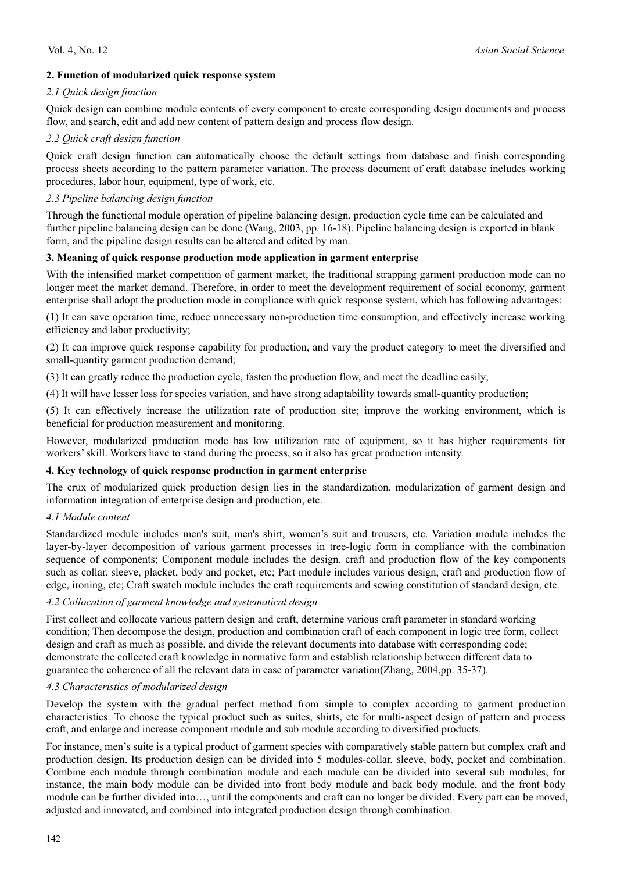# **2. Function of modularized quick response system**

#### *2.1 Quick design function*

Quick design can combine module contents of every component to create corresponding design documents and process flow, and search, edit and add new content of pattern design and process flow design.

## *2.2 Quick craft design function*

Quick craft design function can automatically choose the default settings from database and finish corresponding process sheets according to the pattern parameter variation. The process document of craft database includes working procedures, labor hour, equipment, type of work, etc.

# *2.3 Pipeline balancing design function*

Through the functional module operation of pipeline balancing design, production cycle time can be calculated and further pipeline balancing design can be done (Wang, 2003, pp. 16-18). Pipeline balancing design is exported in blank form, and the pipeline design results can be altered and edited by man.

## **3. Meaning of quick response production mode application in garment enterprise**

With the intensified market competition of garment market, the traditional strapping garment production mode can no longer meet the market demand. Therefore, in order to meet the development requirement of social economy, garment enterprise shall adopt the production mode in compliance with quick response system, which has following advantages:

(1) It can save operation time, reduce unnecessary non-production time consumption, and effectively increase working efficiency and labor productivity;

(2) It can improve quick response capability for production, and vary the product category to meet the diversified and small-quantity garment production demand;

(3) It can greatly reduce the production cycle, fasten the production flow, and meet the deadline easily;

(4) It will have lesser loss for species variation, and have strong adaptability towards small-quantity production;

(5) It can effectively increase the utilization rate of production site; improve the working environment, which is beneficial for production measurement and monitoring.

However, modularized production mode has low utilization rate of equipment, so it has higher requirements for workers' skill. Workers have to stand during the process, so it also has great production intensity.

#### **4. Key technology of quick response production in garment enterprise**

The crux of modularized quick production design lies in the standardization, modularization of garment design and information integration of enterprise design and production, etc.

#### *4.1 Module content*

Standardized module includes men's suit, men's shirt, women's suit and trousers, etc. Variation module includes the layer-by-layer decomposition of various garment processes in tree-logic form in compliance with the combination sequence of components; Component module includes the design, craft and production flow of the key components such as collar, sleeve, placket, body and pocket, etc; Part module includes various design, craft and production flow of edge, ironing, etc; Craft swatch module includes the craft requirements and sewing constitution of standard design, etc.

#### *4.2 Collocation of garment knowledge and systematical design*

First collect and collocate various pattern design and craft, determine various craft parameter in standard working condition; Then decompose the design, production and combination craft of each component in logic tree form, collect design and craft as much as possible, and divide the relevant documents into database with corresponding code; demonstrate the collected craft knowledge in normative form and establish relationship between different data to guarantee the coherence of all the relevant data in case of parameter variation(Zhang, 2004,pp. 35-37).

#### *4.3 Characteristics of modularized design*

Develop the system with the gradual perfect method from simple to complex according to garment production characteristics. To choose the typical product such as suites, shirts, etc for multi-aspect design of pattern and process craft, and enlarge and increase component module and sub module according to diversified products.

For instance, men's suite is a typical product of garment species with comparatively stable pattern but complex craft and production design. Its production design can be divided into 5 modules-collar, sleeve, body, pocket and combination. Combine each module through combination module and each module can be divided into several sub modules, for instance, the main body module can be divided into front body module and back body module, and the front body module can be further divided into…, until the components and craft can no longer be divided. Every part can be moved, adjusted and innovated, and combined into integrated production design through combination.